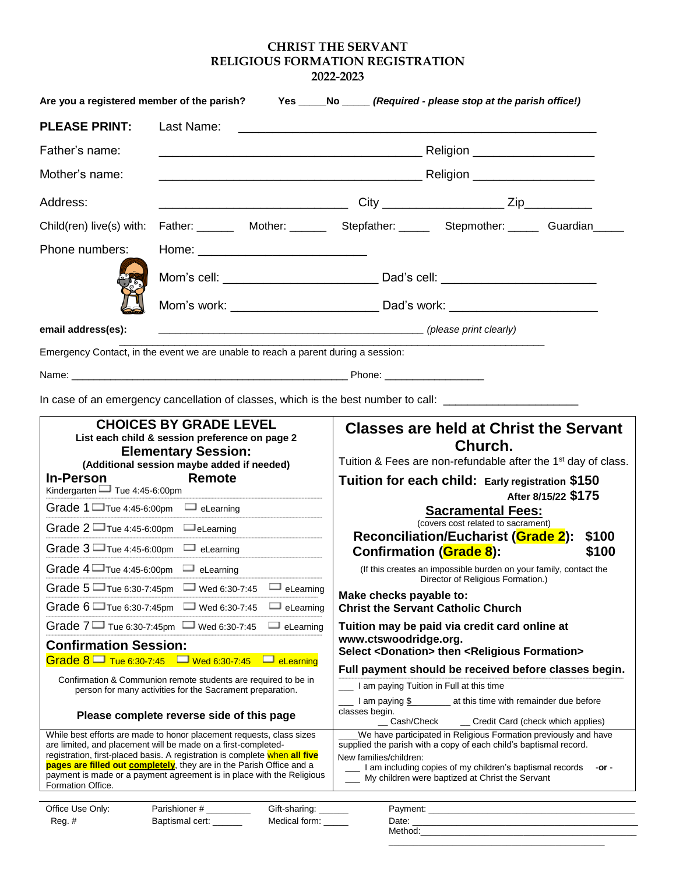## **CHRIST THE SERVANT RELIGIOUS FORMATION REGISTRATION 2022-2023**

| Are you a registered member of the parish? Yes _____No _____ (Required - please stop at the parish office!)     |                        |  |  |  |  |  |  |  |
|-----------------------------------------------------------------------------------------------------------------|------------------------|--|--|--|--|--|--|--|
| <b>PLEASE PRINT:</b>                                                                                            |                        |  |  |  |  |  |  |  |
| Father's name:                                                                                                  |                        |  |  |  |  |  |  |  |
| Mother's name:                                                                                                  |                        |  |  |  |  |  |  |  |
| Address:                                                                                                        |                        |  |  |  |  |  |  |  |
| Child(ren) live(s) with: Father: ________ Mother: ________ Stepfather: _______ Stepmother: ______ Guardian_____ |                        |  |  |  |  |  |  |  |
| Phone numbers:                                                                                                  |                        |  |  |  |  |  |  |  |
|                                                                                                                 |                        |  |  |  |  |  |  |  |
|                                                                                                                 |                        |  |  |  |  |  |  |  |
| email address(es):                                                                                              | (please print clearly) |  |  |  |  |  |  |  |
| Emergency Contact, in the event we are unable to reach a parent during a session:                               |                        |  |  |  |  |  |  |  |
|                                                                                                                 |                        |  |  |  |  |  |  |  |

In case of an emergency cancellation of classes, which is the best number to call: \_\_\_\_\_\_\_\_\_\_\_\_\_\_\_\_\_\_\_\_\_\_\_\_\_\_

| <b>CHOICES BY GRADE LEVEL</b><br>List each child & session preference on page 2<br><b>Elementary Session:</b><br>(Additional session maybe added if needed) | <b>Classes are held at Christ the Servant</b><br>Church.<br>Tuition & Fees are non-refundable after the 1 <sup>st</sup> day of class.  |  |  |  |  |  |
|-------------------------------------------------------------------------------------------------------------------------------------------------------------|----------------------------------------------------------------------------------------------------------------------------------------|--|--|--|--|--|
| Remote<br><b>In-Person</b><br>Kindergarten $\Box$ Tue 4:45-6:00pm                                                                                           | Tuition for each child: Early registration \$150<br>After 8/15/22 \$175                                                                |  |  |  |  |  |
| Grade $1 \square$ Tue 4:45-6:00pm<br>eLearning                                                                                                              | <b>Sacramental Fees:</b>                                                                                                               |  |  |  |  |  |
| Grade $2 \square$ Tue 4:45-6:00pm<br>eLearning                                                                                                              | (covers cost related to sacrament)<br><b>Reconciliation/Eucharist (Grade 2):</b><br>\$100                                              |  |  |  |  |  |
| Grade $3 \square$ Tue 4:45-6:00pm<br>eLearning                                                                                                              | <b>Confirmation (Grade 8):</b><br>\$100                                                                                                |  |  |  |  |  |
| Grade $4\Box$ Tue 4:45-6:00pm<br>eLearning                                                                                                                  | (If this creates an impossible burden on your family, contact the<br>Director of Religious Formation.)<br>Make checks payable to:      |  |  |  |  |  |
| Grade $5 \square$ Tue 6:30-7:45pm<br>Wed 6:30-7:45<br>eLearning                                                                                             |                                                                                                                                        |  |  |  |  |  |
| Grade $6 \square$ Tue 6:30-7:45pm<br>Wed 6:30-7:45<br>eLearning                                                                                             | <b>Christ the Servant Catholic Church</b>                                                                                              |  |  |  |  |  |
| Grade $7 \square$ Tue 6:30-7:45pm $\square$ Wed 6:30-7:45<br>eLearning                                                                                      | Tuition may be paid via credit card online at                                                                                          |  |  |  |  |  |
| <b>Confirmation Session:</b>                                                                                                                                | www.ctswoodridge.org.<br>Select <donation> then <religious formation=""></religious></donation>                                        |  |  |  |  |  |
| Grade $8\blacksquare$ Tue 6:30-7:45 $\blacksquare$ Wed 6:30-7:45<br>$\Box$ eLearning                                                                        | Full payment should be received before classes begin.                                                                                  |  |  |  |  |  |
| Confirmation & Communion remote students are required to be in<br>person for many activities for the Sacrament preparation.                                 | I am paying Tuition in Full at this time                                                                                               |  |  |  |  |  |
| Please complete reverse side of this page                                                                                                                   | I am paying \$____________ at this time with remainder due before<br>classes begin.<br>Cash/Check<br>Credit Card (check which applies) |  |  |  |  |  |
| While best efforts are made to honor placement requests, class sizes                                                                                        | We have participated in Religious Formation previously and have                                                                        |  |  |  |  |  |
| are limited, and placement will be made on a first-completed-<br>registration, first-placed basis. A registration is complete when all five                 | supplied the parish with a copy of each child's baptismal record.<br>New families/children:                                            |  |  |  |  |  |
| <b>pages are filled out completely</b> , they are in the Parish Office and a                                                                                | I am including copies of my children's baptismal records<br>-or -<br>My children were baptized at Christ the Servant                   |  |  |  |  |  |
| payment is made or a payment agreement is in place with the Religious<br>Formation Office.                                                                  |                                                                                                                                        |  |  |  |  |  |
|                                                                                                                                                             |                                                                                                                                        |  |  |  |  |  |

| Office Use Only: | Parishioner#    | Gift-sharing: | Payment: |
|------------------|-----------------|---------------|----------|
| Reg.#            | Baptismal cert: | Medical form: | Date:    |
|                  |                 |               | Method:  |
|                  |                 |               |          |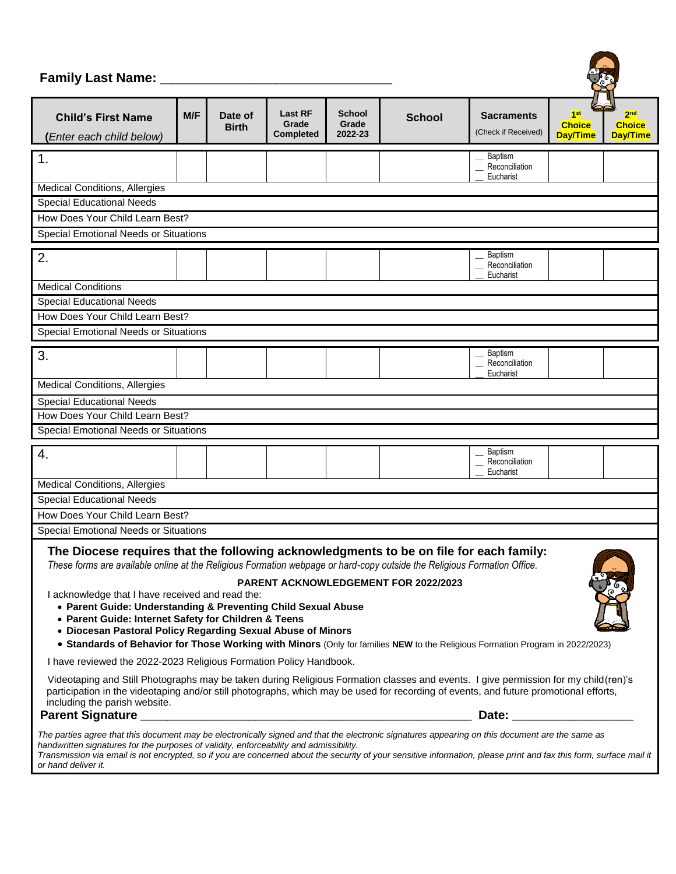## **Family Last Name:** \_\_\_\_\_\_\_\_\_\_\_\_\_\_\_\_\_\_\_\_\_\_\_\_\_\_\_\_\_\_\_\_\_\_\_\_\_\_\_\_\_\_

| Fallilly Last Natile:<br>$\mathbb{C}^2$                                                                                                                                                                                                                                                                                                                                                                                                                                                                                                                                                                                                        |     |                         |                                             |                                   |               |                                               |                                                     |                                              |
|------------------------------------------------------------------------------------------------------------------------------------------------------------------------------------------------------------------------------------------------------------------------------------------------------------------------------------------------------------------------------------------------------------------------------------------------------------------------------------------------------------------------------------------------------------------------------------------------------------------------------------------------|-----|-------------------------|---------------------------------------------|-----------------------------------|---------------|-----------------------------------------------|-----------------------------------------------------|----------------------------------------------|
| <b>Child's First Name</b><br>(Enter each child below)                                                                                                                                                                                                                                                                                                                                                                                                                                                                                                                                                                                          | M/F | Date of<br><b>Birth</b> | <b>Last RF</b><br>Grade<br><b>Completed</b> | <b>School</b><br>Grade<br>2022-23 | <b>School</b> | <b>Sacraments</b><br>(Check if Received)      | 1 <sup>st</sup><br><b>Choice</b><br><b>Day/Time</b> | 2 <sup>nd</sup><br><b>Choice</b><br>Day/Time |
| 1.                                                                                                                                                                                                                                                                                                                                                                                                                                                                                                                                                                                                                                             |     |                         |                                             |                                   |               | Baptism<br>Reconciliation<br>Eucharist        |                                                     |                                              |
| <b>Medical Conditions, Allergies</b>                                                                                                                                                                                                                                                                                                                                                                                                                                                                                                                                                                                                           |     |                         |                                             |                                   |               |                                               |                                                     |                                              |
| <b>Special Educational Needs</b>                                                                                                                                                                                                                                                                                                                                                                                                                                                                                                                                                                                                               |     |                         |                                             |                                   |               |                                               |                                                     |                                              |
| How Does Your Child Learn Best?                                                                                                                                                                                                                                                                                                                                                                                                                                                                                                                                                                                                                |     |                         |                                             |                                   |               |                                               |                                                     |                                              |
| <b>Special Emotional Needs or Situations</b>                                                                                                                                                                                                                                                                                                                                                                                                                                                                                                                                                                                                   |     |                         |                                             |                                   |               |                                               |                                                     |                                              |
| 2.                                                                                                                                                                                                                                                                                                                                                                                                                                                                                                                                                                                                                                             |     |                         |                                             |                                   |               | <b>Baptism</b><br>Reconciliation<br>Eucharist |                                                     |                                              |
| <b>Medical Conditions</b>                                                                                                                                                                                                                                                                                                                                                                                                                                                                                                                                                                                                                      |     |                         |                                             |                                   |               |                                               |                                                     |                                              |
| <b>Special Educational Needs</b>                                                                                                                                                                                                                                                                                                                                                                                                                                                                                                                                                                                                               |     |                         |                                             |                                   |               |                                               |                                                     |                                              |
| How Does Your Child Learn Best?                                                                                                                                                                                                                                                                                                                                                                                                                                                                                                                                                                                                                |     |                         |                                             |                                   |               |                                               |                                                     |                                              |
| Special Emotional Needs or Situations                                                                                                                                                                                                                                                                                                                                                                                                                                                                                                                                                                                                          |     |                         |                                             |                                   |               |                                               |                                                     |                                              |
| 3.                                                                                                                                                                                                                                                                                                                                                                                                                                                                                                                                                                                                                                             |     |                         |                                             |                                   |               | <b>Baptism</b><br>Reconciliation<br>Eucharist |                                                     |                                              |
| <b>Medical Conditions, Allergies</b>                                                                                                                                                                                                                                                                                                                                                                                                                                                                                                                                                                                                           |     |                         |                                             |                                   |               |                                               |                                                     |                                              |
| <b>Special Educational Needs</b>                                                                                                                                                                                                                                                                                                                                                                                                                                                                                                                                                                                                               |     |                         |                                             |                                   |               |                                               |                                                     |                                              |
| How Does Your Child Learn Best?                                                                                                                                                                                                                                                                                                                                                                                                                                                                                                                                                                                                                |     |                         |                                             |                                   |               |                                               |                                                     |                                              |
| Special Emotional Needs or Situations                                                                                                                                                                                                                                                                                                                                                                                                                                                                                                                                                                                                          |     |                         |                                             |                                   |               |                                               |                                                     |                                              |
| 4.                                                                                                                                                                                                                                                                                                                                                                                                                                                                                                                                                                                                                                             |     |                         |                                             |                                   |               | <b>Baptism</b><br>Reconciliation<br>Eucharist |                                                     |                                              |
| <b>Medical Conditions, Allergies</b>                                                                                                                                                                                                                                                                                                                                                                                                                                                                                                                                                                                                           |     |                         |                                             |                                   |               |                                               |                                                     |                                              |
| <b>Special Educational Needs</b>                                                                                                                                                                                                                                                                                                                                                                                                                                                                                                                                                                                                               |     |                         |                                             |                                   |               |                                               |                                                     |                                              |
| How Does Your Child Learn Best?                                                                                                                                                                                                                                                                                                                                                                                                                                                                                                                                                                                                                |     |                         |                                             |                                   |               |                                               |                                                     |                                              |
| Special Emotional Needs or Situations                                                                                                                                                                                                                                                                                                                                                                                                                                                                                                                                                                                                          |     |                         |                                             |                                   |               |                                               |                                                     |                                              |
| The Diocese requires that the following acknowledgments to be on file for each family:<br>These forms are available online at the Religious Formation webpage or hard-copy outside the Religious Formation Office.<br><b>PARENT ACKNOWLEDGEMENT FOR 2022/2023</b><br>I acknowledge that I have received and read the:<br>• Parent Guide: Understanding & Preventing Child Sexual Abuse<br>• Parent Guide: Internet Safety for Children & Teens<br>• Diocesan Pastoral Policy Regarding Sexual Abuse of Minors<br>. Standards of Behavior for Those Working with Minors (Only for families NEW to the Religious Formation Program in 2022/2023) |     |                         |                                             |                                   |               |                                               |                                                     |                                              |
| I have reviewed the 2022-2023 Religious Formation Policy Handbook.                                                                                                                                                                                                                                                                                                                                                                                                                                                                                                                                                                             |     |                         |                                             |                                   |               |                                               |                                                     |                                              |
| Videotaping and Still Photographs may be taken during Religious Formation classes and events. I give permission for my child (ren)'s<br>participation in the videotaping and/or still photographs, which may be used for recording of events, and future promotional efforts,<br>including the parish website.<br>Parent Signature Management Communication of the Communication of the Communication of the Communication of the Communication of the Communication of the Communication of the Communication of the Communication of the Commu<br>Date: _____________________                                                                |     |                         |                                             |                                   |               |                                               |                                                     |                                              |
| The parties agree that this document may be electronically signed and that the electronic signatures appearing on this document are the same as<br>handwritten signatures for the purposes of validity, enforceability and admissibility.<br>Transmission via email is not encrypted, so if you are concerned about the security of your sensitive information, please print and fax this form, surface mail it<br>or hand deliver it.                                                                                                                                                                                                         |     |                         |                                             |                                   |               |                                               |                                                     |                                              |

S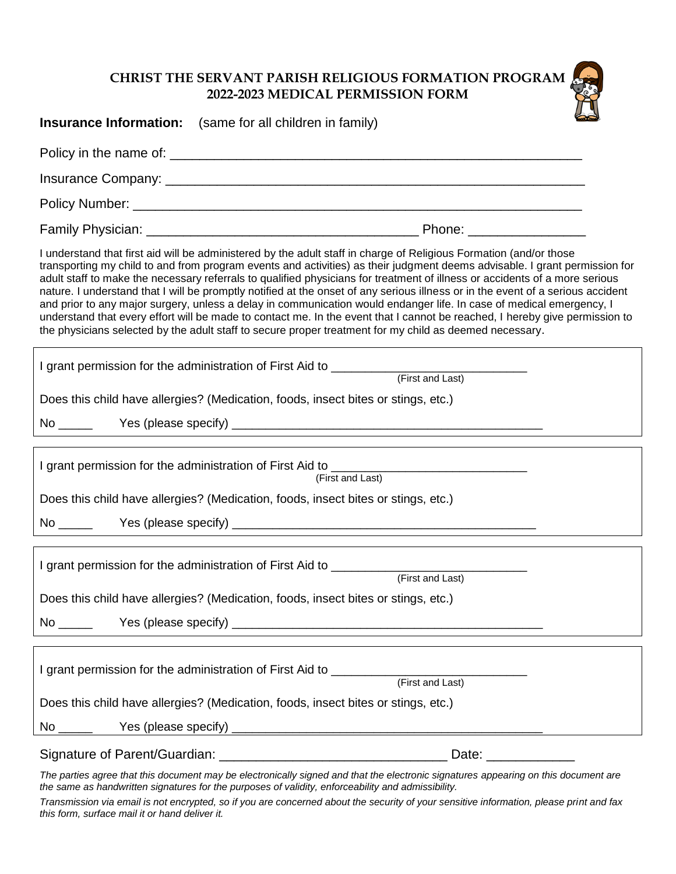## **CHRIST THE SERVANT PARISH RELIGIOUS FORMATION PROGRAM 2022-2023 MEDICAL PERMISSION FORM**

| <b>Insurance Information:</b> (same for all children in family)                                                                                                                                                                                                                                                                                                                                                                                                                                                                                                                                                                                                                                                                                                                                                                                                                      |  |  |  |  |  |  |
|--------------------------------------------------------------------------------------------------------------------------------------------------------------------------------------------------------------------------------------------------------------------------------------------------------------------------------------------------------------------------------------------------------------------------------------------------------------------------------------------------------------------------------------------------------------------------------------------------------------------------------------------------------------------------------------------------------------------------------------------------------------------------------------------------------------------------------------------------------------------------------------|--|--|--|--|--|--|
|                                                                                                                                                                                                                                                                                                                                                                                                                                                                                                                                                                                                                                                                                                                                                                                                                                                                                      |  |  |  |  |  |  |
|                                                                                                                                                                                                                                                                                                                                                                                                                                                                                                                                                                                                                                                                                                                                                                                                                                                                                      |  |  |  |  |  |  |
|                                                                                                                                                                                                                                                                                                                                                                                                                                                                                                                                                                                                                                                                                                                                                                                                                                                                                      |  |  |  |  |  |  |
|                                                                                                                                                                                                                                                                                                                                                                                                                                                                                                                                                                                                                                                                                                                                                                                                                                                                                      |  |  |  |  |  |  |
| I understand that first aid will be administered by the adult staff in charge of Religious Formation (and/or those<br>transporting my child to and from program events and activities) as their judgment deems advisable. I grant permission for<br>adult staff to make the necessary referrals to qualified physicians for treatment of illness or accidents of a more serious<br>nature. I understand that I will be promptly notified at the onset of any serious illness or in the event of a serious accident<br>and prior to any major surgery, unless a delay in communication would endanger life. In case of medical emergency, I<br>understand that every effort will be made to contact me. In the event that I cannot be reached, I hereby give permission to<br>the physicians selected by the adult staff to secure proper treatment for my child as deemed necessary. |  |  |  |  |  |  |
|                                                                                                                                                                                                                                                                                                                                                                                                                                                                                                                                                                                                                                                                                                                                                                                                                                                                                      |  |  |  |  |  |  |
| Does this child have allergies? (Medication, foods, insect bites or stings, etc.)                                                                                                                                                                                                                                                                                                                                                                                                                                                                                                                                                                                                                                                                                                                                                                                                    |  |  |  |  |  |  |
|                                                                                                                                                                                                                                                                                                                                                                                                                                                                                                                                                                                                                                                                                                                                                                                                                                                                                      |  |  |  |  |  |  |
| (First and Last)<br>Does this child have allergies? (Medication, foods, insect bites or stings, etc.)<br>No ______                                                                                                                                                                                                                                                                                                                                                                                                                                                                                                                                                                                                                                                                                                                                                                   |  |  |  |  |  |  |
|                                                                                                                                                                                                                                                                                                                                                                                                                                                                                                                                                                                                                                                                                                                                                                                                                                                                                      |  |  |  |  |  |  |
|                                                                                                                                                                                                                                                                                                                                                                                                                                                                                                                                                                                                                                                                                                                                                                                                                                                                                      |  |  |  |  |  |  |
| Does this child have allergies? (Medication, foods, insect bites or stings, etc.)                                                                                                                                                                                                                                                                                                                                                                                                                                                                                                                                                                                                                                                                                                                                                                                                    |  |  |  |  |  |  |
| $No \_\_$                                                                                                                                                                                                                                                                                                                                                                                                                                                                                                                                                                                                                                                                                                                                                                                                                                                                            |  |  |  |  |  |  |
|                                                                                                                                                                                                                                                                                                                                                                                                                                                                                                                                                                                                                                                                                                                                                                                                                                                                                      |  |  |  |  |  |  |
| Does this child have allergies? (Medication, foods, insect bites or stings, etc.)                                                                                                                                                                                                                                                                                                                                                                                                                                                                                                                                                                                                                                                                                                                                                                                                    |  |  |  |  |  |  |
|                                                                                                                                                                                                                                                                                                                                                                                                                                                                                                                                                                                                                                                                                                                                                                                                                                                                                      |  |  |  |  |  |  |
| The parties agree that this document may be electronically signed and that the electronic signatures appearing on this document are                                                                                                                                                                                                                                                                                                                                                                                                                                                                                                                                                                                                                                                                                                                                                  |  |  |  |  |  |  |

*the same as handwritten signatures for the purposes of validity, enforceability and admissibility.*

*Transmission via email is not encrypted, so if you are concerned about the security of your sensitive information, please print and fax this form, surface mail it or hand deliver it.*